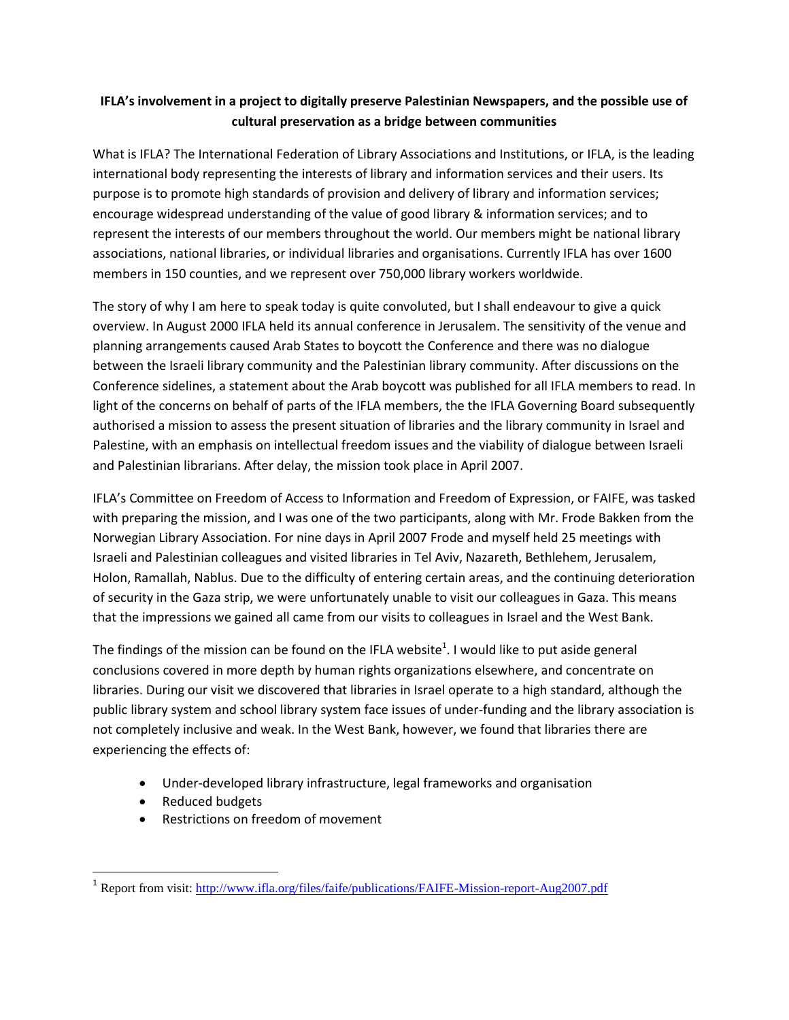## **IFLA's involvement in a project to digitally preserve Palestinian Newspapers, and the possible use of cultural preservation as a bridge between communities**

What is IFLA? The International Federation of Library Associations and Institutions, or IFLA, is the leading international body representing the interests of library and information services and their users. Its purpose is to promote high standards of provision and delivery of library and information services; encourage widespread understanding of the value of good library & information services; and to represent the interests of our members throughout the world. Our members might be national library associations, national libraries, or individual libraries and organisations. Currently IFLA has over 1600 members in 150 counties, and we represent over 750,000 library workers worldwide.

The story of why I am here to speak today is quite convoluted, but I shall endeavour to give a quick overview. In August 2000 IFLA held its annual conference in Jerusalem. The sensitivity of the venue and planning arrangements caused Arab States to boycott the Conference and there was no dialogue between the Israeli library community and the Palestinian library community. After discussions on the Conference sidelines, a statement about the Arab boycott was published for all IFLA members to read. In light of the concerns on behalf of parts of the IFLA members, the the IFLA Governing Board subsequently authorised a mission to assess the present situation of libraries and the library community in Israel and Palestine, with an emphasis on intellectual freedom issues and the viability of dialogue between Israeli and Palestinian librarians. After delay, the mission took place in April 2007.

IFLA's Committee on Freedom of Access to Information and Freedom of Expression, or FAIFE, was tasked with preparing the mission, and I was one of the two participants, along with Mr. Frode Bakken from the Norwegian Library Association. For nine days in April 2007 Frode and myself held 25 meetings with Israeli and Palestinian colleagues and visited libraries in Tel Aviv, Nazareth, Bethlehem, Jerusalem, Holon, Ramallah, Nablus. Due to the difficulty of entering certain areas, and the continuing deterioration of security in the Gaza strip, we were unfortunately unable to visit our colleagues in Gaza. This means that the impressions we gained all came from our visits to colleagues in Israel and the West Bank.

The findings of the mission can be found on the IFLA website<sup>1</sup>. I would like to put aside general conclusions covered in more depth by human rights organizations elsewhere, and concentrate on libraries. During our visit we discovered that libraries in Israel operate to a high standard, although the public library system and school library system face issues of under-funding and the library association is not completely inclusive and weak. In the West Bank, however, we found that libraries there are experiencing the effects of:

- Under-developed library infrastructure, legal frameworks and organisation
- Reduced budgets

 $\overline{\phantom{a}}$ 

• Restrictions on freedom of movement

<sup>&</sup>lt;sup>1</sup> Report from visit:<http://www.ifla.org/files/faife/publications/FAIFE-Mission-report-Aug2007.pdf>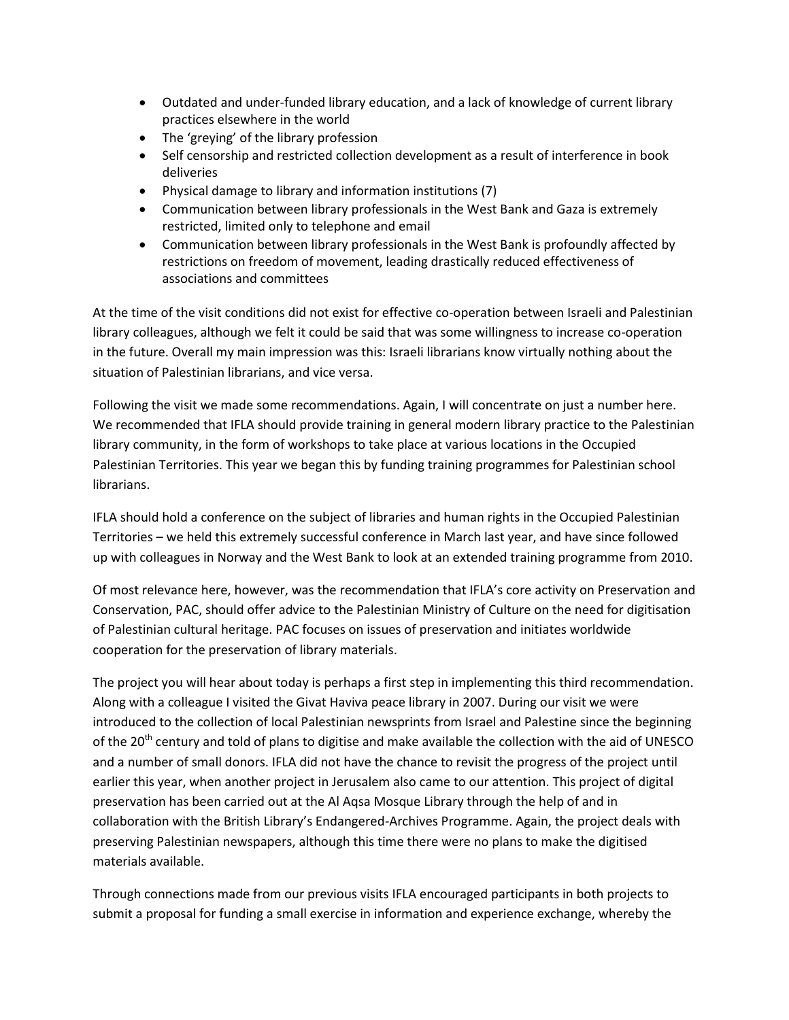- Outdated and under-funded library education, and a lack of knowledge of current library practices elsewhere in the world
- The 'greying' of the library profession
- Self censorship and restricted collection development as a result of interference in book deliveries
- Physical damage to library and information institutions (7)
- Communication between library professionals in the West Bank and Gaza is extremely restricted, limited only to telephone and email
- Communication between library professionals in the West Bank is profoundly affected by restrictions on freedom of movement, leading drastically reduced effectiveness of associations and committees

At the time of the visit conditions did not exist for effective co-operation between Israeli and Palestinian library colleagues, although we felt it could be said that was some willingness to increase co-operation in the future. Overall my main impression was this: Israeli librarians know virtually nothing about the situation of Palestinian librarians, and vice versa.

Following the visit we made some recommendations. Again, I will concentrate on just a number here. We recommended that IFLA should provide training in general modern library practice to the Palestinian library community, in the form of workshops to take place at various locations in the Occupied Palestinian Territories. This year we began this by funding training programmes for Palestinian school librarians.

IFLA should hold a conference on the subject of libraries and human rights in the Occupied Palestinian Territories – we held this extremely successful conference in March last year, and have since followed up with colleagues in Norway and the West Bank to look at an extended training programme from 2010.

Of most relevance here, however, was the recommendation that IFLA's core activity on Preservation and Conservation, PAC, should offer advice to the Palestinian Ministry of Culture on the need for digitisation of Palestinian cultural heritage. PAC focuses on issues of preservation and initiates worldwide cooperation for the preservation of library materials.

The project you will hear about today is perhaps a first step in implementing this third recommendation. Along with a colleague I visited the Givat Haviva peace library in 2007. During our visit we were introduced to the collection of local Palestinian newsprints from Israel and Palestine since the beginning of the 20<sup>th</sup> century and told of plans to digitise and make available the collection with the aid of UNESCO and a number of small donors. IFLA did not have the chance to revisit the progress of the project until earlier this year, when another project in Jerusalem also came to our attention. This project of digital preservation has been carried out at the Al Aqsa Mosque Library through the help of and in collaboration with the British Library's Endangered-Archives Programme. Again, the project deals with preserving Palestinian newspapers, although this time there were no plans to make the digitised materials available.

Through connections made from our previous visits IFLA encouraged participants in both projects to submit a proposal for funding a small exercise in information and experience exchange, whereby the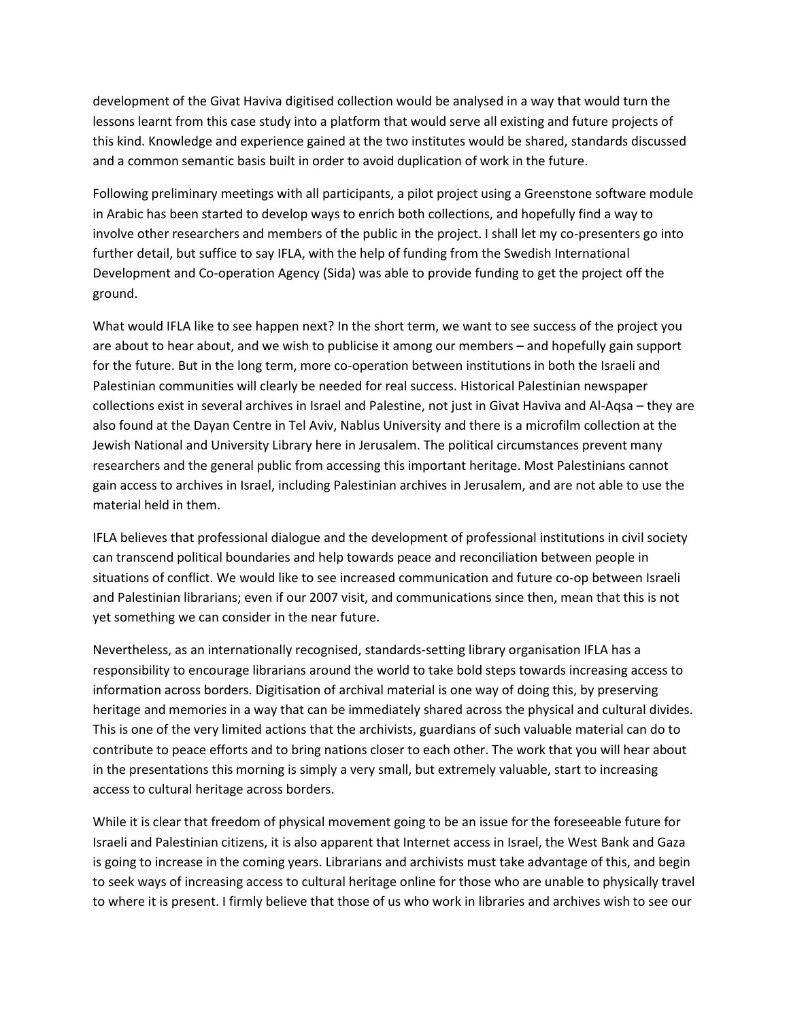development of the Givat Haviva digitised collection would be analysed in a way that would turn the lessons learnt from this case study into a platform that would serve all existing and future projects of this kind. Knowledge and experience gained at the two institutes would be shared, standards discussed and a common semantic basis built in order to avoid duplication of work in the future.

Following preliminary meetings with all participants, a pilot project using a Greenstone software module in Arabic has been started to develop ways to enrich both collections, and hopefully find a way to involve other researchers and members of the public in the project. I shall let my co-presenters go into further detail, but suffice to say IFLA, with the help of funding from the Swedish International Development and Co-operation Agency (Sida) was able to provide funding to get the project off the ground.

What would IFLA like to see happen next? In the short term, we want to see success of the project you are about to hear about, and we wish to publicise it among our members – and hopefully gain support for the future. But in the long term, more co-operation between institutions in both the Israeli and Palestinian communities will clearly be needed for real success. Historical Palestinian newspaper collections exist in several archives in Israel and Palestine, not just in Givat Haviva and Al-Aqsa – they are also found at the Dayan Centre in Tel Aviv, Nablus University and there is a microfilm collection at the Jewish National and University Library here in Jerusalem. The political circumstances prevent many researchers and the general public from accessing this important heritage. Most Palestinians cannot gain access to archives in Israel, including Palestinian archives in Jerusalem, and are not able to use the material held in them.

IFLA believes that professional dialogue and the development of professional institutions in civil society can transcend political boundaries and help towards peace and reconciliation between people in situations of conflict. We would like to see increased communication and future co-op between Israeli and Palestinian librarians; even if our 2007 visit, and communications since then, mean that this is not yet something we can consider in the near future.

Nevertheless, as an internationally recognised, standards-setting library organisation IFLA has a responsibility to encourage librarians around the world to take bold steps towards increasing access to information across borders. Digitisation of archival material is one way of doing this, by preserving heritage and memories in a way that can be immediately shared across the physical and cultural divides. This is one of the very limited actions that the archivists, guardians of such valuable material can do to contribute to peace efforts and to bring nations closer to each other. The work that you will hear about in the presentations this morning is simply a very small, but extremely valuable, start to increasing access to cultural heritage across borders.

While it is clear that freedom of physical movement going to be an issue for the foreseeable future for Israeli and Palestinian citizens, it is also apparent that Internet access in Israel, the West Bank and Gaza is going to increase in the coming years. Librarians and archivists must take advantage of this, and begin to seek ways of increasing access to cultural heritage online for those who are unable to physically travel to where it is present. I firmly believe that those of us who work in libraries and archives wish to see our